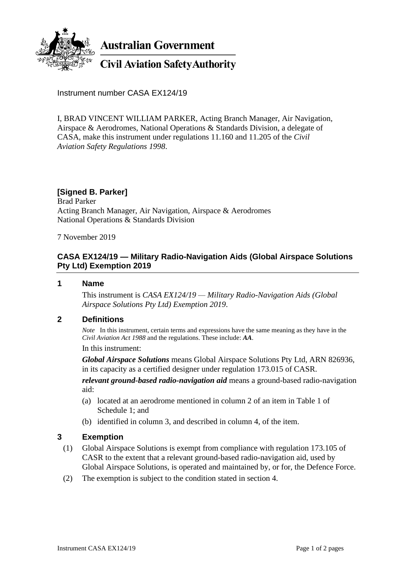

Instrument number CASA EX124/19

I, BRAD VINCENT WILLIAM PARKER, Acting Branch Manager, Air Navigation, Airspace & Aerodromes, National Operations & Standards Division, a delegate of CASA, make this instrument under regulations 11.160 and 11.205 of the *Civil Aviation Safety Regulations 1998*.

# **[Signed B. Parker]**

Brad Parker Acting Branch Manager, Air Navigation, Airspace & Aerodromes National Operations & Standards Division

7 November 2019

## **CASA EX124/19 — Military Radio-Navigation Aids (Global Airspace Solutions Pty Ltd) Exemption 2019**

**1 Name**

This instrument is *CASA EX124/19 — Military Radio-Navigation Aids (Global Airspace Solutions Pty Ltd) Exemption 2019*.

### **2 Definitions**

*Note* In this instrument, certain terms and expressions have the same meaning as they have in the *Civil Aviation Act 1988* and the regulations. These include: *AA*.

In this instrument:

*Global Airspace Solutions* means Global Airspace Solutions Pty Ltd, ARN 826936, in its capacity as a certified designer under regulation 173.015 of CASR.

*relevant ground-based radio-navigation aid* means a ground-based radio-navigation aid:

- (a) located at an aerodrome mentioned in column 2 of an item in Table 1 of Schedule 1; and
- (b) identified in column 3, and described in column 4, of the item.

### **3 Exemption**

- (1) Global Airspace Solutions is exempt from compliance with regulation 173.105 of CASR to the extent that a relevant ground-based radio-navigation aid, used by Global Airspace Solutions, is operated and maintained by, or for, the Defence Force.
- (2) The exemption is subject to the condition stated in section 4.